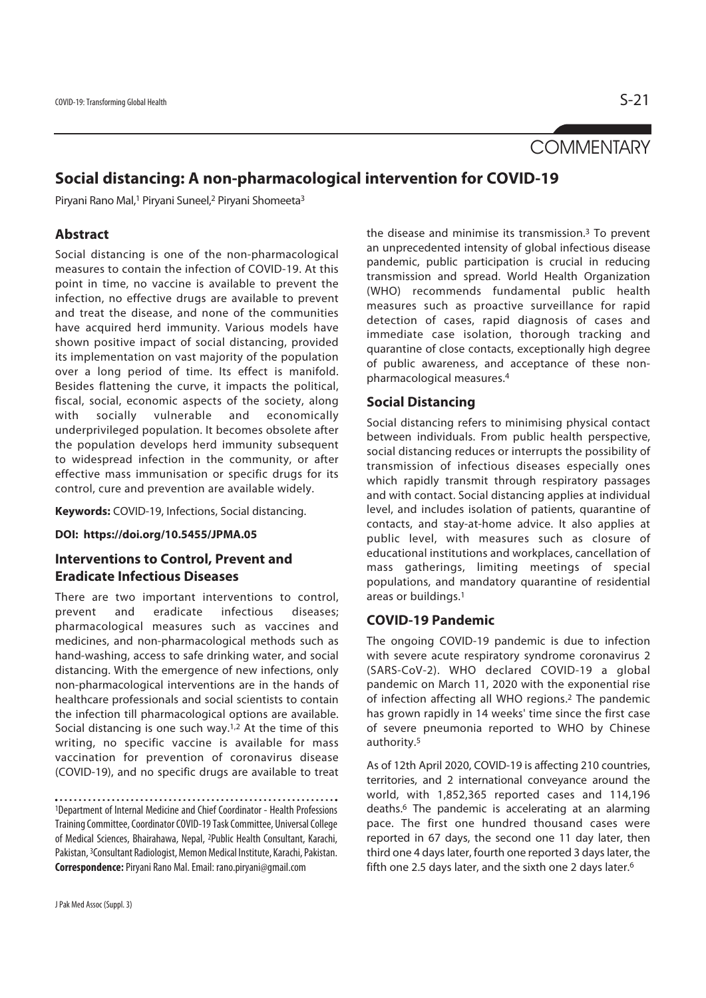# **COMMENTARY**

# **Social distancing: A non-pharmacological intervention for COVID-19**

Piryani Rano Mal,<sup>1</sup> Piryani Suneel,<sup>2</sup> Piryani Shomeeta<sup>3</sup>

### **Abstract**

Social distancing is one of the non-pharmacological measures to contain the infection of COVID-19. At this point in time, no vaccine is available to prevent the infection, no effective drugs are available to prevent and treat the disease, and none of the communities have acquired herd immunity. Various models have shown positive impact of social distancing, provided its implementation on vast majority of the population over a long period of time. Its effect is manifold. Besides flattening the curve, it impacts the political, fiscal, social, economic aspects of the society, along with socially vulnerable and economically underprivileged population. It becomes obsolete after the population develops herd immunity subsequent to widespread infection in the community, or after effective mass immunisation or specific drugs for its control, cure and prevention are available widely.

**Keywords:** COVID-19, Infections, Social distancing.

**DOI: https://doi.org/10.5455/JPMA.05**

## **Interventions to Control, Prevent and Eradicate Infectious Diseases**

There are two important interventions to control, prevent and eradicate infectious diseases; pharmacological measures such as vaccines and medicines, and non-pharmacological methods such as hand-washing, access to safe drinking water, and social distancing. With the emergence of new infections, only non-pharmacological interventions are in the hands of healthcare professionals and social scientists to contain the infection till pharmacological options are available. Social distancing is one such way. $1,2$  At the time of this writing, no specific vaccine is available for mass vaccination for prevention of coronavirus disease (COVID-19), and no specific drugs are available to treat

1Department of Internal Medicine and Chief Coordinator - Health Professions Training Committee, Coordinator COVID-19 Task Committee, Universal College of Medical Sciences, Bhairahawa, Nepal, 2Public Health Consultant, Karachi, Pakistan, 3Consultant Radiologist, Memon Medical Institute, Karachi, Pakistan. **Correspondence:** Piryani Rano Mal. Email: rano.piryani@gmail.com

the disease and minimise its transmission. $3$  To prevent an unprecedented intensity of global infectious disease pandemic, public participation is crucial in reducing transmission and spread. World Health Organization (WHO) recommends fundamental public health measures such as proactive surveillance for rapid detection of cases, rapid diagnosis of cases and immediate case isolation, thorough tracking and quarantine of close contacts, exceptionally high degree of public awareness, and acceptance of these nonpharmacological measures.4

#### **Social Distancing**

Social distancing refers to minimising physical contact between individuals. From public health perspective, social distancing reduces or interrupts the possibility of transmission of infectious diseases especially ones which rapidly transmit through respiratory passages and with contact. Social distancing applies at individual level, and includes isolation of patients, quarantine of contacts, and stay-at-home advice. It also applies at public level, with measures such as closure of educational institutions and workplaces, cancellation of mass gatherings, limiting meetings of special populations, and mandatory quarantine of residential areas or buildings.1

### **COVID-19 Pandemic**

The ongoing COVID-19 pandemic is due to infection with severe acute respiratory syndrome coronavirus 2 (SARS-CoV-2). WHO declared COVID-19 a global pandemic on March 11, 2020 with the exponential rise of infection affecting all WHO regions.2 The pandemic has grown rapidly in 14 weeks' time since the first case of severe pneumonia reported to WHO by Chinese authority.5

As of 12th April 2020, COVID-19 is affecting 210 countries, territories, and 2 international conveyance around the world, with 1,852,365 reported cases and 114,196 deaths.6 The pandemic is accelerating at an alarming pace. The first one hundred thousand cases were reported in 67 days, the second one 11 day later, then third one 4 days later, fourth one reported 3 days later, the fifth one 2.5 days later, and the sixth one 2 days later.6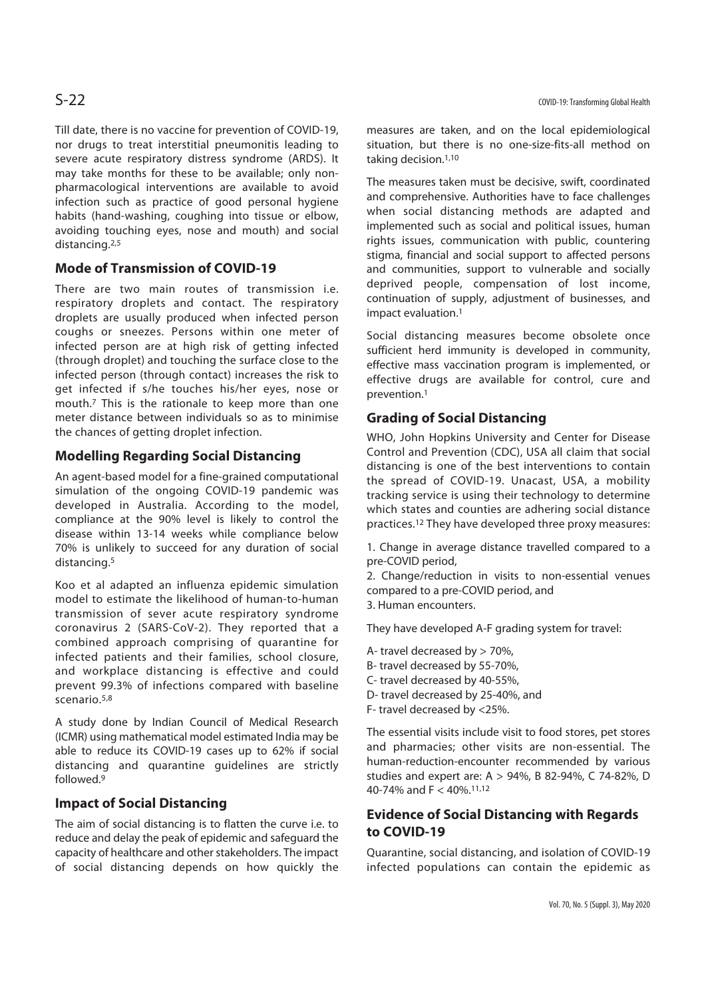Till date, there is no vaccine for prevention of COVID-19, nor drugs to treat interstitial pneumonitis leading to severe acute respiratory distress syndrome (ARDS). It may take months for these to be available; only nonpharmacological interventions are available to avoid infection such as practice of good personal hygiene habits (hand-washing, coughing into tissue or elbow, avoiding touching eyes, nose and mouth) and social distancing.2,5

## **Mode of Transmission of COVID-19**

There are two main routes of transmission i.e. respiratory droplets and contact. The respiratory droplets are usually produced when infected person coughs or sneezes. Persons within one meter of infected person are at high risk of getting infected (through droplet) and touching the surface close to the infected person (through contact) increases the risk to get infected if s/he touches his/her eyes, nose or mouth.7 This is the rationale to keep more than one meter distance between individuals so as to minimise the chances of getting droplet infection.

### **Modelling Regarding Social Distancing**

An agent-based model for a fine-grained computational simulation of the ongoing COVID-19 pandemic was developed in Australia. According to the model, compliance at the 90% level is likely to control the disease within 13-14 weeks while compliance below 70% is unlikely to succeed for any duration of social distancing.5

Koo et al adapted an influenza epidemic simulation model to estimate the likelihood of human-to-human transmission of sever acute respiratory syndrome coronavirus 2 (SARS-CoV-2). They reported that a combined approach comprising of quarantine for infected patients and their families, school closure, and workplace distancing is effective and could prevent 99.3% of infections compared with baseline scenario.5,8

A study done by Indian Council of Medical Research (ICMR) using mathematical model estimated India may be able to reduce its COVID-19 cases up to 62% if social distancing and quarantine guidelines are strictly followed.9

### **Impact of Social Distancing**

The aim of social distancing is to flatten the curve i.e. to reduce and delay the peak of epidemic and safeguard the capacity of healthcare and other stakeholders. The impact of social distancing depends on how quickly the measures are taken, and on the local epidemiological situation, but there is no one-size-fits-all method on taking decision.1,10

The measures taken must be decisive, swift, coordinated and comprehensive. Authorities have to face challenges when social distancing methods are adapted and implemented such as social and political issues, human rights issues, communication with public, countering stigma, financial and social support to affected persons and communities, support to vulnerable and socially deprived people, compensation of lost income, continuation of supply, adjustment of businesses, and impact evaluation.1

Social distancing measures become obsolete once sufficient herd immunity is developed in community, effective mass vaccination program is implemented, or effective drugs are available for control, cure and prevention.1

## **Grading of Social Distancing**

WHO, John Hopkins University and Center for Disease Control and Prevention (CDC), USA all claim that social distancing is one of the best interventions to contain the spread of COVID-19. Unacast, USA, a mobility tracking service is using their technology to determine which states and counties are adhering social distance practices.12 They have developed three proxy measures:

1. Change in average distance travelled compared to a pre-COVID period,

2. Change/reduction in visits to non-essential venues compared to a pre-COVID period, and 3. Human encounters.

They have developed A-F grading system for travel:

- A- travel decreased by > 70%,
- B- travel decreased by 55-70%,
- C- travel decreased by 40-55%,
- D- travel decreased by 25-40%, and
- F- travel decreased by <25%.

The essential visits include visit to food stores, pet stores and pharmacies; other visits are non-essential. The human-reduction-encounter recommended by various studies and expert are: A > 94%, B 82-94%, C 74-82%, D 40-74% and F < 40%.11,12

## **Evidence of Social Distancing with Regards to COVID-19**

Quarantine, social distancing, and isolation of COVID-19 infected populations can contain the epidemic as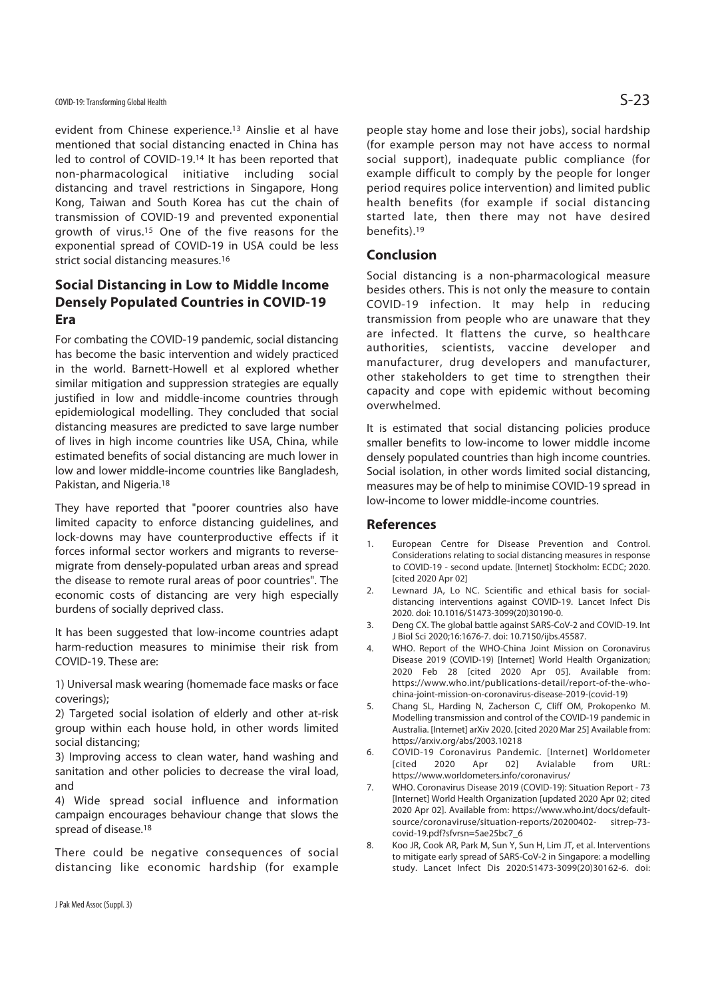evident from Chinese experience.13 Ainslie et al have mentioned that social distancing enacted in China has led to control of COVID-19.14 It has been reported that non-pharmacological initiative including social distancing and travel restrictions in Singapore, Hong Kong, Taiwan and South Korea has cut the chain of transmission of COVID-19 and prevented exponential growth of virus.15 One of the five reasons for the exponential spread of COVID-19 in USA could be less strict social distancing measures.<sup>16</sup>

### **Social Distancing in Low to Middle Income Densely Populated Countries in COVID-19 Era**

For combating the COVID-19 pandemic, social distancing has become the basic intervention and widely practiced in the world. Barnett-Howell et al explored whether similar mitigation and suppression strategies are equally justified in low and middle-income countries through epidemiological modelling. They concluded that social distancing measures are predicted to save large number of lives in high income countries like USA, China, while estimated benefits of social distancing are much lower in low and lower middle-income countries like Bangladesh, Pakistan, and Nigeria.18

They have reported that "poorer countries also have limited capacity to enforce distancing guidelines, and lock-downs may have counterproductive effects if it forces informal sector workers and migrants to reversemigrate from densely-populated urban areas and spread the disease to remote rural areas of poor countries". The economic costs of distancing are very high especially burdens of socially deprived class.

It has been suggested that low-income countries adapt harm-reduction measures to minimise their risk from COVID-19. These are:

1) Universal mask wearing (homemade face masks or face coverings);

2) Targeted social isolation of elderly and other at-risk group within each house hold, in other words limited social distancing;

3) Improving access to clean water, hand washing and sanitation and other policies to decrease the viral load, and

4) Wide spread social influence and information campaign encourages behaviour change that slows the spread of disease.18

There could be negative consequences of social distancing like economic hardship (for example

people stay home and lose their jobs), social hardship (for example person may not have access to normal social support), inadequate public compliance (for example difficult to comply by the people for longer period requires police intervention) and limited public health benefits (for example if social distancing started late, then there may not have desired benefits).19

#### **Conclusion**

Social distancing is a non-pharmacological measure besides others. This is not only the measure to contain COVID-19 infection. It may help in reducing transmission from people who are unaware that they are infected. It flattens the curve, so healthcare authorities, scientists, vaccine developer and manufacturer, drug developers and manufacturer, other stakeholders to get time to strengthen their capacity and cope with epidemic without becoming overwhelmed.

It is estimated that social distancing policies produce smaller benefits to low-income to lower middle income densely populated countries than high income countries. Social isolation, in other words limited social distancing, measures may be of help to minimise COVID-19 spread in low-income to lower middle-income countries.

#### **References**

- 1. European Centre for Disease Prevention and Control. Considerations relating to social distancing measures in response to COVID-19 - second update. [Internet] Stockholm: ECDC; 2020. [cited 2020 Apr 02]
- 2. Lewnard JA, Lo NC. Scientific and ethical basis for socialdistancing interventions against COVID-19. Lancet Infect Dis 2020. doi: 10.1016/S1473-3099(20)30190-0.
- 3. Deng CX. The global battle against SARS-CoV-2 and COVID-19. Int J Biol Sci 2020;16:1676-7. doi: 10.7150/ijbs.45587.
- 4. WHO. Report of the WHO-China Joint Mission on Coronavirus Disease 2019 (COVID-19) [Internet] World Health Organization; 2020 Feb 28 [cited 2020 Apr 05]. Available from: https://www.who.int/publications-detail/report-of-the-whochina-joint-mission-on-coronavirus-disease-2019-(covid-19)
- 5. Chang SL, Harding N, Zacherson C, Cliff OM, Prokopenko M. Modelling transmission and control of the COVID-19 pandemic in Australia. [Internet] arXiv 2020. [cited 2020 Mar 25] Available from: https://arxiv.org/abs/2003.10218
- 6. COVID-19 Coronavirus Pandemic. [Internet] Worldometer [cited 2020 Apr 02] Avialable from URL: https://www.worldometers.info/coronavirus/
- 7. WHO. Coronavirus Disease 2019 (COVID-19): Situation Report 73 [Internet] World Health Organization [updated 2020 Apr 02; cited 2020 Apr 02]. Available from: https://www.who.int/docs/defaultsource/coronaviruse/situation-reports/20200402- sitrep-73 covid-19.pdf?sfvrsn=5ae25bc7\_6
- 8. Koo JR, Cook AR, Park M, Sun Y, Sun H, Lim JT, et al. Interventions to mitigate early spread of SARS-CoV-2 in Singapore: a modelling study. Lancet Infect Dis 2020:S1473-3099(20)30162-6. doi: